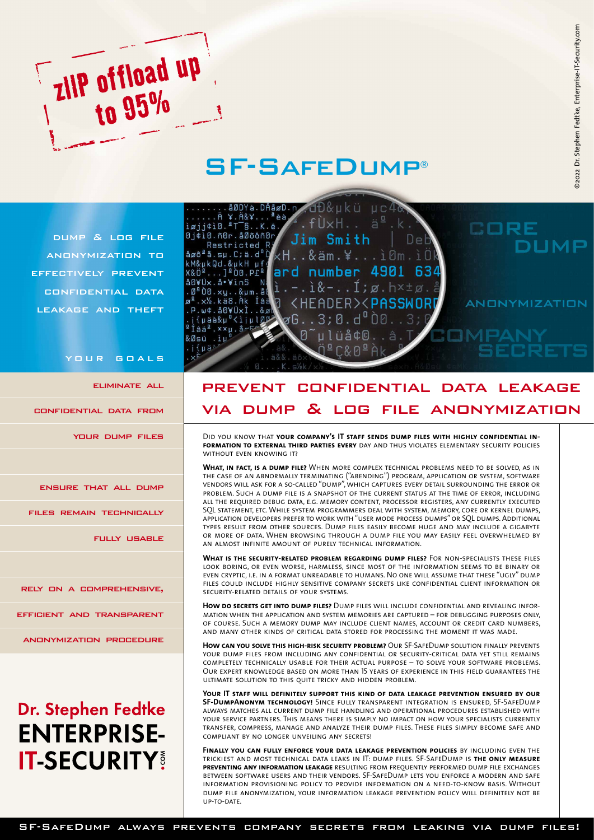

## SF-SafeDump®

dump & log file anonymization to effectively prevent confidential data leakage and theft

your goals

eliminate all

confidential data from

your dump files

ensure that all dump

files remain technically

fully usable

rely on a comprehensive,

efficient and transparent

anonymization procedure

# Dr. Stephen Fedtke **ENTERPRISE-IT-SECURITY**



## prevent confidential data leakage via dump & log file anonymization

Did you know that **your company's IT staff sends dump files with highly confidential information to external third parties every** day and thus violates elementary security policies without even knowing it?

**What, in fact, is a dump file?** When more complex technical problems need to be solved, as in the case of an abnormally terminating ("abending") program, application or system, software vendors will ask for a so-called "dump", which captures every detail surrounding the error or problem. Such a dump file is a snapshot of the current status at the time of error, including all the required debug data, e.g. memory content, processor registers, any currently executed SQL statement, etc. While system programmers deal with system, memory, core or kernel dumps, application developers prefer to work with "user mode process dumps" or SQL dumps. Additional types result from other sources. Dump files easily become huge and may include a gigabyte or more of data. When browsing through a dump file you may easily feel overwhelmed by an almost infinite amount of purely technical information.

**What is the security-related problem regarding dump files?** For non-specialists these files look boring, or even worse, harmless, since most of the information seems to be binary or even cryptic, i.e. in a format unreadable to humans. No one will assume that these "ugly" dump files could include highly sensitive company secrets like confidential client information or security-related details of your systems.

**How do secrets get into dump files?** Dump files will include confidential and revealing information when the application and system memories are captured – for debugging purposes only, of course. Such a memory dump may include client names, account or credit card numbers, and many other kinds of critical data stored for processing the moment it was made.

**How can you solve this high-risk security problem?** Our SF-SafeDump solution finally prevents your dump files from including any confidential or security-critical data yet still remains completely technically usable for their actual purpose – to solve your software problems. Our expert knowledge based on more than 15 years of experience in this field guarantees the ultimate solution to this quite tricky and hidden problem.

**Your IT staff will definitely support this kind of data leakage prevention ensured by our SF-DumpAnonym technology!** Since fully transparent integration is ensured, SF-SafeDump always matches all current dump file handling and operational procedures established with your service partners. This means there is simply no impact on how your specialists currently transfer, compress, manage and analyze their dump files. These files simply become safe and compliant by no longer unveiling any secrets!

**Finally you can fully enforce your data leakage prevention policies** by including even the trickiest and most technical data leaks in IT: dump files. SF-SafeDump is **the only measure preventing any information leakage** resulting from frequently performed dump file exchanges between software users and their vendors. SF-SafeDump lets you enforce a modern and safe information provisioning policy to provide information on a need-to-know basis. Without dump file anonymization, your information leakage prevention policy will definitely not be up-to-date.